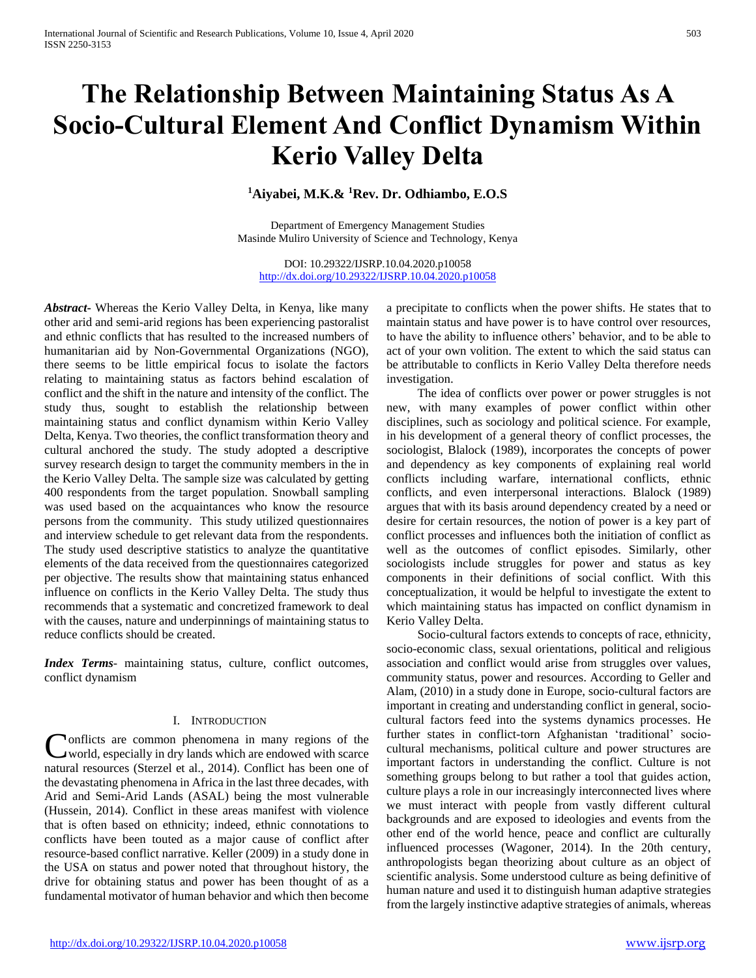# **The Relationship Between Maintaining Status As A Socio-Cultural Element And Conflict Dynamism Within Kerio Valley Delta**

# **<sup>1</sup>Aiyabei, M.K.& <sup>1</sup>Rev. Dr. Odhiambo, E.O.S**

Department of Emergency Management Studies Masinde Muliro University of Science and Technology, Kenya

DOI: 10.29322/IJSRP.10.04.2020.p10058 <http://dx.doi.org/10.29322/IJSRP.10.04.2020.p10058>

*Abstract***-** Whereas the Kerio Valley Delta, in Kenya, like many other arid and semi-arid regions has been experiencing pastoralist and ethnic conflicts that has resulted to the increased numbers of humanitarian aid by Non-Governmental Organizations (NGO), there seems to be little empirical focus to isolate the factors relating to maintaining status as factors behind escalation of conflict and the shift in the nature and intensity of the conflict. The study thus, sought to establish the relationship between maintaining status and conflict dynamism within Kerio Valley Delta, Kenya. Two theories, the conflict transformation theory and cultural anchored the study. The study adopted a descriptive survey research design to target the community members in the in the Kerio Valley Delta. The sample size was calculated by getting 400 respondents from the target population. Snowball sampling was used based on the acquaintances who know the resource persons from the community. This study utilized questionnaires and interview schedule to get relevant data from the respondents. The study used descriptive statistics to analyze the quantitative elements of the data received from the questionnaires categorized per objective. The results show that maintaining status enhanced influence on conflicts in the Kerio Valley Delta. The study thus recommends that a systematic and concretized framework to deal with the causes, nature and underpinnings of maintaining status to reduce conflicts should be created.

*Index Terms*- maintaining status, culture, conflict outcomes, conflict dynamism

# I. INTRODUCTION

onflicts are common phenomena in many regions of the Conflicts are common phenomena in many regions of the world, especially in dry lands which are endowed with scarce natural resources (Sterzel et al., 2014). Conflict has been one of the devastating phenomena in Africa in the last three decades, with Arid and Semi-Arid Lands (ASAL) being the most vulnerable (Hussein, 2014). Conflict in these areas manifest with violence that is often based on ethnicity; indeed, ethnic connotations to conflicts have been touted as a major cause of conflict after resource-based conflict narrative. Keller (2009) in a study done in the USA on status and power noted that throughout history, the drive for obtaining status and power has been thought of as a fundamental motivator of human behavior and which then become

a precipitate to conflicts when the power shifts. He states that to maintain status and have power is to have control over resources, to have the ability to influence others' behavior, and to be able to act of your own volition. The extent to which the said status can be attributable to conflicts in Kerio Valley Delta therefore needs investigation.

 The idea of conflicts over power or power struggles is not new, with many examples of power conflict within other disciplines, such as sociology and political science. For example, in his development of a general theory of conflict processes, the sociologist, Blalock (1989), incorporates the concepts of power and dependency as key components of explaining real world conflicts including warfare, international conflicts, ethnic conflicts, and even interpersonal interactions. Blalock (1989) argues that with its basis around dependency created by a need or desire for certain resources, the notion of power is a key part of conflict processes and influences both the initiation of conflict as well as the outcomes of conflict episodes. Similarly, other sociologists include struggles for power and status as key components in their definitions of social conflict. With this conceptualization, it would be helpful to investigate the extent to which maintaining status has impacted on conflict dynamism in Kerio Valley Delta.

 Socio-cultural factors extends to concepts of race, ethnicity, socio-economic class, sexual orientations, political and religious association and conflict would arise from struggles over values, community status, power and resources. According to Geller and Alam, (2010) in a study done in Europe, socio-cultural factors are important in creating and understanding conflict in general, sociocultural factors feed into the systems dynamics processes. He further states in conflict-torn Afghanistan 'traditional' sociocultural mechanisms, political culture and power structures are important factors in understanding the conflict. Culture is not something groups belong to but rather a tool that guides action, culture plays a role in our increasingly interconnected lives where we must interact with people from vastly different cultural backgrounds and are exposed to ideologies and events from the other end of the world hence, peace and conflict are culturally influenced processes (Wagoner, 2014). In the 20th century, anthropologists began theorizing about culture as an object of scientific analysis. Some understood culture as being definitive of human nature and used it to distinguish human adaptive strategies from the largely instinctive adaptive strategies of animals, whereas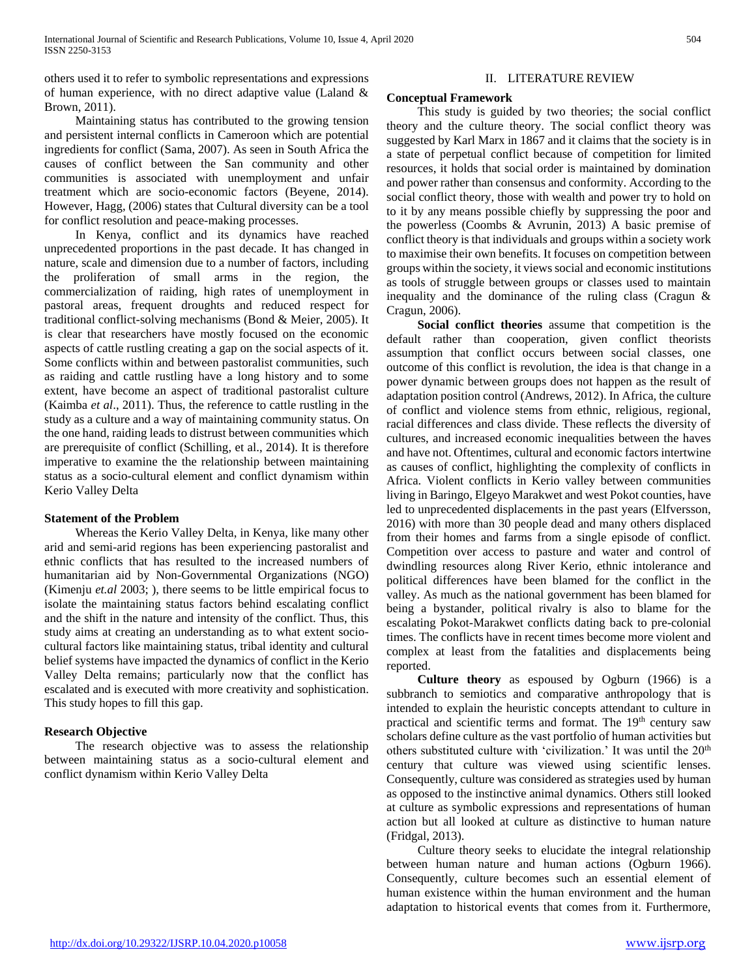others used it to refer to symbolic representations and expressions of human experience, with no direct adaptive value (Laland & Brown, 2011).

 Maintaining status has contributed to the growing tension and persistent internal conflicts in Cameroon which are potential ingredients for conflict (Sama, 2007). As seen in South Africa the causes of conflict between the San community and other communities is associated with unemployment and unfair treatment which are socio-economic factors (Beyene, 2014). However, Hagg, (2006) states that Cultural diversity can be a tool for conflict resolution and peace-making processes.

 In Kenya, conflict and its dynamics have reached unprecedented proportions in the past decade. It has changed in nature, scale and dimension due to a number of factors, including the proliferation of small arms in the region, the commercialization of raiding, high rates of unemployment in pastoral areas, frequent droughts and reduced respect for traditional conflict-solving mechanisms (Bond & Meier, 2005). It is clear that researchers have mostly focused on the economic aspects of cattle rustling creating a gap on the social aspects of it. Some conflicts within and between pastoralist communities, such as raiding and cattle rustling have a long history and to some extent, have become an aspect of traditional pastoralist culture (Kaimba *et al*., 2011). Thus, the reference to cattle rustling in the study as a culture and a way of maintaining community status. On the one hand, raiding leads to distrust between communities which are prerequisite of conflict (Schilling, et al., 2014). It is therefore imperative to examine the the relationship between maintaining status as a socio-cultural element and conflict dynamism within Kerio Valley Delta

# **Statement of the Problem**

 Whereas the Kerio Valley Delta, in Kenya, like many other arid and semi-arid regions has been experiencing pastoralist and ethnic conflicts that has resulted to the increased numbers of humanitarian aid by Non-Governmental Organizations (NGO) (Kimenju *et.al* 2003; ), there seems to be little empirical focus to isolate the maintaining status factors behind escalating conflict and the shift in the nature and intensity of the conflict. Thus, this study aims at creating an understanding as to what extent sociocultural factors like maintaining status, tribal identity and cultural belief systems have impacted the dynamics of conflict in the Kerio Valley Delta remains; particularly now that the conflict has escalated and is executed with more creativity and sophistication. This study hopes to fill this gap.

# **Research Objective**

 The research objective was to assess the relationship between maintaining status as a socio-cultural element and conflict dynamism within Kerio Valley Delta

## II. LITERATURE REVIEW

## **Conceptual Framework**

 This study is guided by two theories; the social conflict theory and the culture theory. The social conflict theory was suggested by Karl Marx in 1867 and it claims that the society is in a state of perpetual conflict because of competition for limited resources, it holds that social order is maintained by domination and power rather than consensus and conformity. According to the social conflict theory, those with wealth and power try to hold on to it by any means possible chiefly by suppressing the poor and the powerless (Coombs & Avrunin, 2013) A basic premise of conflict theory is that individuals and groups within a society work to maximise their own benefits. It focuses on competition between groups within the society, it views social and economic institutions as tools of struggle between groups or classes used to maintain inequality and the dominance of the ruling class (Cragun & Cragun, 2006).

 **Social conflict theories** assume that competition is the default rather than cooperation, given conflict theorists assumption that conflict occurs between social classes, one outcome of this conflict is revolution, the idea is that change in a power dynamic between groups does not happen as the result of adaptation position control (Andrews, 2012). In Africa, the culture of conflict and violence stems from ethnic, religious, regional, racial differences and class divide. These reflects the diversity of cultures, and increased economic inequalities between the haves and have not. Oftentimes, cultural and economic factors intertwine as causes of conflict, highlighting the complexity of conflicts in Africa. Violent conflicts in Kerio valley between communities living in Baringo, Elgeyo Marakwet and west Pokot counties, have led to unprecedented displacements in the past years (Elfversson, 2016) with more than 30 people dead and many others displaced from their homes and farms from a single episode of conflict. Competition over access to pasture and water and control of dwindling resources along River Kerio, ethnic intolerance and political differences have been blamed for the conflict in the valley. As much as the national government has been blamed for being a bystander, political rivalry is also to blame for the escalating Pokot-Marakwet conflicts dating back to pre-colonial times. The conflicts have in recent times become more violent and complex at least from the fatalities and displacements being reported.

 **Culture theory** as espoused by Ogburn (1966) is a subbranch to semiotics and comparative anthropology that is intended to explain the heuristic concepts attendant to culture in practical and scientific terms and format. The 19<sup>th</sup> century saw scholars define culture as the vast portfolio of human activities but others substituted culture with 'civilization.' It was until the 20<sup>th</sup> century that culture was viewed using scientific lenses. Consequently, culture was considered as strategies used by human as opposed to the instinctive animal dynamics. Others still looked at culture as symbolic expressions and representations of human action but all looked at culture as distinctive to human nature (Fridgal, 2013).

 Culture theory seeks to elucidate the integral relationship between human nature and human actions (Ogburn 1966). Consequently, culture becomes such an essential element of human existence within the human environment and the human adaptation to historical events that comes from it. Furthermore,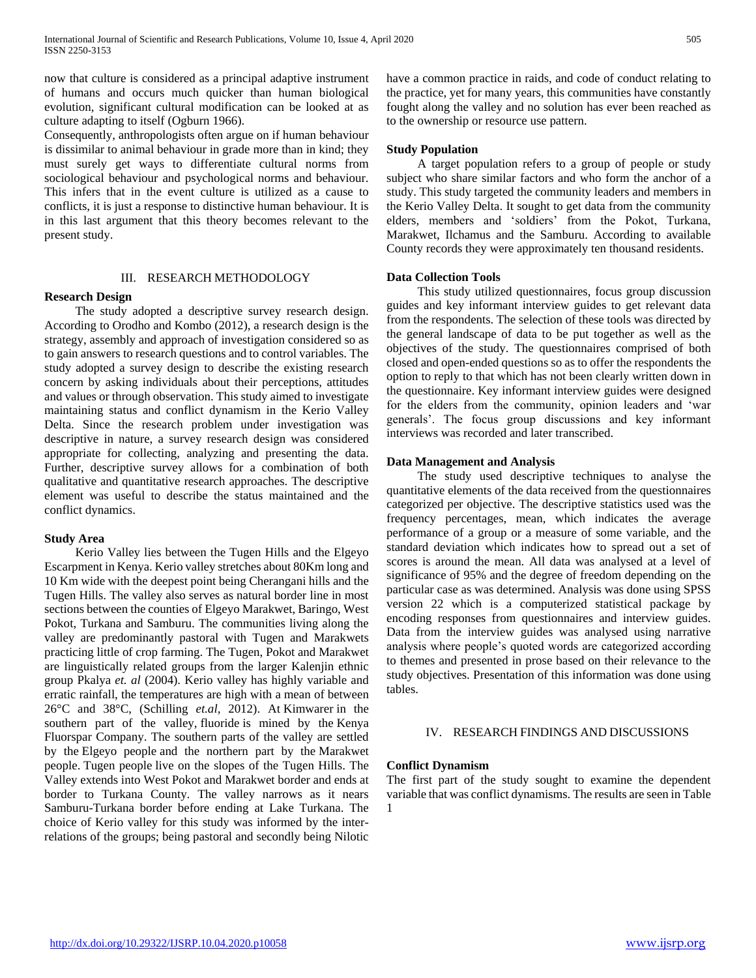now that culture is considered as a principal adaptive instrument of humans and occurs much quicker than human biological evolution, significant cultural modification can be looked at as culture adapting to itself (Ogburn 1966).

Consequently, anthropologists often argue on if human behaviour is dissimilar to animal behaviour in grade more than in kind; they must surely get ways to differentiate cultural norms from sociological behaviour and psychological norms and behaviour. This infers that in the event culture is utilized as a cause to conflicts, it is just a response to distinctive human behaviour. It is in this last argument that this theory becomes relevant to the present study.

#### III. RESEARCH METHODOLOGY

#### **Research Design**

 The study adopted a descriptive survey research design. According to Orodho and Kombo (2012), a research design is the strategy, assembly and approach of investigation considered so as to gain answers to research questions and to control variables. The study adopted a survey design to describe the existing research concern by asking individuals about their perceptions, attitudes and values or through observation. This study aimed to investigate maintaining status and conflict dynamism in the Kerio Valley Delta. Since the research problem under investigation was descriptive in nature, a survey research design was considered appropriate for collecting, analyzing and presenting the data. Further, descriptive survey allows for a combination of both qualitative and quantitative research approaches. The descriptive element was useful to describe the status maintained and the conflict dynamics.

#### **Study Area**

 Kerio Valley lies between the Tugen Hills and the Elgeyo Escarpment in Kenya. Kerio valley stretches about 80Km long and 10 Km wide with the deepest point being Cherangani hills and the Tugen Hills. The valley also serves as natural border line in most sections between the counties of Elgeyo Marakwet, Baringo, West Pokot, Turkana and Samburu. The communities living along the valley are predominantly pastoral with Tugen and Marakwets practicing little of crop farming. The Tugen, Pokot and Marakwet are linguistically related groups from the larger Kalenjin ethnic group Pkalya *et. al* (2004). Kerio valley has highly variable and erratic rainfall, the temperatures are high with a mean of between 26°C and 38°C, (Schilling *et.al,* 2012). At Kimwarer in the southern part of the valley, fluoride is mined by the Kenya Fluorspar Company. The southern parts of the valley are settled by the Elgeyo people and the northern part by the Marakwet people. Tugen people live on the slopes of the Tugen Hills. The Valley extends into West Pokot and Marakwet border and ends at border to Turkana County. The valley narrows as it nears Samburu-Turkana border before ending at Lake Turkana. The choice of Kerio valley for this study was informed by the interrelations of the groups; being pastoral and secondly being Nilotic

have a common practice in raids, and code of conduct relating to the practice, yet for many years, this communities have constantly fought along the valley and no solution has ever been reached as to the ownership or resource use pattern.

#### **Study Population**

 A target population refers to a group of people or study subject who share similar factors and who form the anchor of a study. This study targeted the community leaders and members in the Kerio Valley Delta. It sought to get data from the community elders, members and 'soldiers' from the Pokot, Turkana, Marakwet, Ilchamus and the Samburu. According to available County records they were approximately ten thousand residents.

# **Data Collection Tools**

 This study utilized questionnaires, focus group discussion guides and key informant interview guides to get relevant data from the respondents. The selection of these tools was directed by the general landscape of data to be put together as well as the objectives of the study. The questionnaires comprised of both closed and open-ended questions so as to offer the respondents the option to reply to that which has not been clearly written down in the questionnaire. Key informant interview guides were designed for the elders from the community, opinion leaders and 'war generals'. The focus group discussions and key informant interviews was recorded and later transcribed.

## **Data Management and Analysis**

 The study used descriptive techniques to analyse the quantitative elements of the data received from the questionnaires categorized per objective. The descriptive statistics used was the frequency percentages, mean, which indicates the average performance of a group or a measure of some variable, and the standard deviation which indicates how to spread out a set of scores is around the mean. All data was analysed at a level of significance of 95% and the degree of freedom depending on the particular case as was determined. Analysis was done using SPSS version 22 which is a computerized statistical package by encoding responses from questionnaires and interview guides. Data from the interview guides was analysed using narrative analysis where people's quoted words are categorized according to themes and presented in prose based on their relevance to the study objectives. Presentation of this information was done using tables.

### IV. RESEARCH FINDINGS AND DISCUSSIONS

#### **Conflict Dynamism**

The first part of the study sought to examine the dependent variable that was conflict dynamisms. The results are seen in Table 1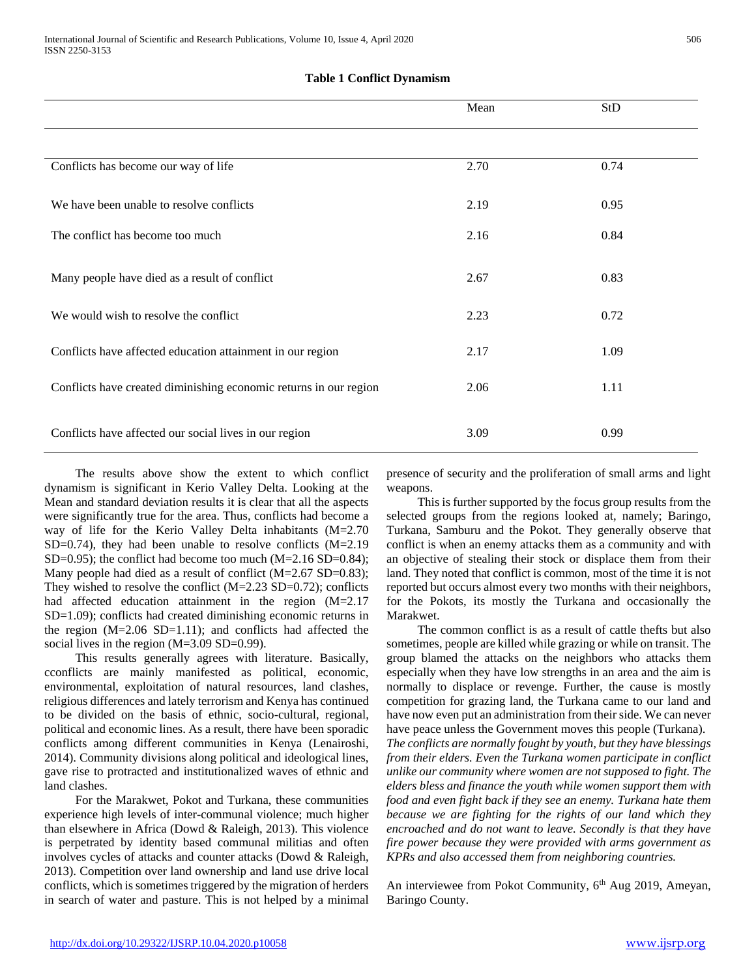# **Table 1 Conflict Dynamism**

|                                                                   | Mean | StD  |
|-------------------------------------------------------------------|------|------|
|                                                                   |      |      |
| Conflicts has become our way of life                              | 2.70 | 0.74 |
| We have been unable to resolve conflicts                          | 2.19 | 0.95 |
| The conflict has become too much                                  | 2.16 | 0.84 |
| Many people have died as a result of conflict                     | 2.67 | 0.83 |
| We would wish to resolve the conflict.                            | 2.23 | 0.72 |
| Conflicts have affected education attainment in our region        | 2.17 | 1.09 |
| Conflicts have created diminishing economic returns in our region | 2.06 | 1.11 |
| Conflicts have affected our social lives in our region            | 3.09 | 0.99 |

 The results above show the extent to which conflict dynamism is significant in Kerio Valley Delta. Looking at the Mean and standard deviation results it is clear that all the aspects were significantly true for the area. Thus, conflicts had become a way of life for the Kerio Valley Delta inhabitants (M=2.70  $SD=0.74$ ), they had been unable to resolve conflicts  $(M=2.19)$ SD=0.95); the conflict had become too much  $(M=2.16 S D=0.84)$ ; Many people had died as a result of conflict (M=2.67 SD=0.83); They wished to resolve the conflict  $(M=2.23$  SD=0.72); conflicts had affected education attainment in the region (M=2.17 SD=1.09); conflicts had created diminishing economic returns in the region  $(M=2.06 \text{ SD}=1.11)$ ; and conflicts had affected the social lives in the region (M=3.09 SD=0.99).

 This results generally agrees with literature. Basically, cconflicts are mainly manifested as political, economic, environmental, exploitation of natural resources, land clashes, religious differences and lately terrorism and Kenya has continued to be divided on the basis of ethnic, socio-cultural, regional, political and economic lines. As a result, there have been sporadic conflicts among different communities in Kenya (Lenairoshi, 2014). Community divisions along political and ideological lines, gave rise to protracted and institutionalized waves of ethnic and land clashes.

 For the Marakwet, Pokot and Turkana, these communities experience high levels of inter-communal violence; much higher than elsewhere in Africa (Dowd & Raleigh, 2013). This violence is perpetrated by identity based communal militias and often involves cycles of attacks and counter attacks (Dowd & Raleigh, 2013). Competition over land ownership and land use drive local conflicts, which is sometimes triggered by the migration of herders in search of water and pasture. This is not helped by a minimal

presence of security and the proliferation of small arms and light weapons.

 This is further supported by the focus group results from the selected groups from the regions looked at, namely; Baringo, Turkana, Samburu and the Pokot. They generally observe that conflict is when an enemy attacks them as a community and with an objective of stealing their stock or displace them from their land. They noted that conflict is common, most of the time it is not reported but occurs almost every two months with their neighbors, for the Pokots, its mostly the Turkana and occasionally the Marakwet.

 The common conflict is as a result of cattle thefts but also sometimes, people are killed while grazing or while on transit. The group blamed the attacks on the neighbors who attacks them especially when they have low strengths in an area and the aim is normally to displace or revenge. Further, the cause is mostly competition for grazing land, the Turkana came to our land and have now even put an administration from their side. We can never have peace unless the Government moves this people (Turkana). *The conflicts are normally fought by youth, but they have blessings from their elders. Even the Turkana women participate in conflict unlike our community where women are not supposed to fight. The elders bless and finance the youth while women support them with food and even fight back if they see an enemy. Turkana hate them because we are fighting for the rights of our land which they encroached and do not want to leave. Secondly is that they have fire power because they were provided with arms government as KPRs and also accessed them from neighboring countries.*

An interviewee from Pokot Community, 6<sup>th</sup> Aug 2019, Ameyan, Baringo County.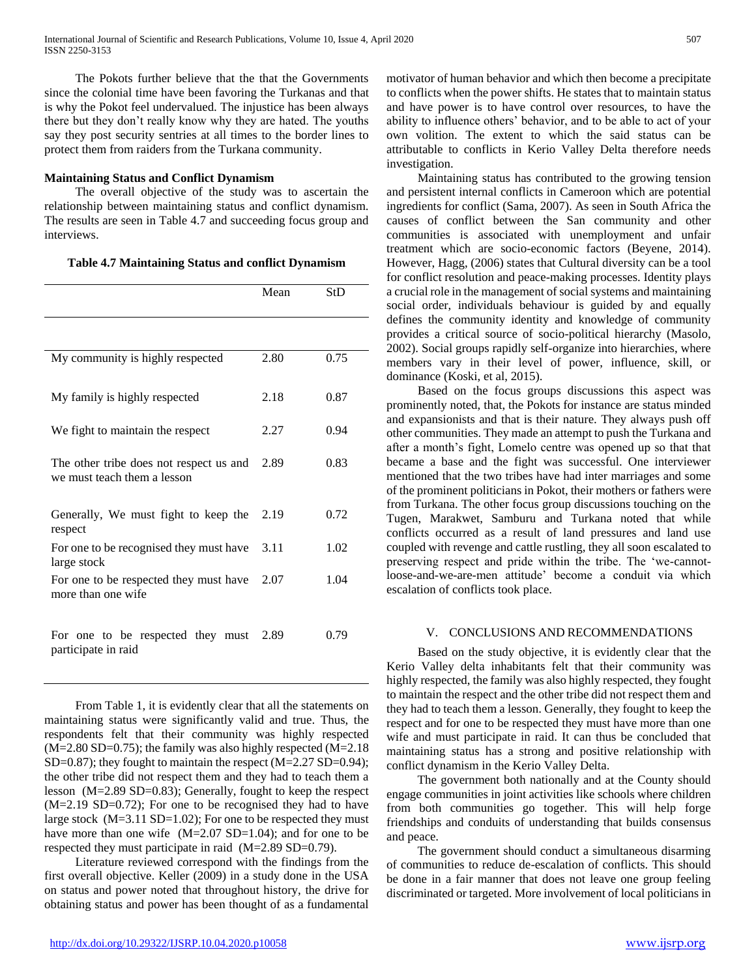The Pokots further believe that the that the Governments since the colonial time have been favoring the Turkanas and that is why the Pokot feel undervalued. The injustice has been always there but they don't really know why they are hated. The youths say they post security sentries at all times to the border lines to protect them from raiders from the Turkana community.

# **Maintaining Status and Conflict Dynamism**

 The overall objective of the study was to ascertain the relationship between maintaining status and conflict dynamism. The results are seen in Table 4.7 and succeeding focus group and interviews.

**Table 4.7 Maintaining Status and conflict Dynamism**

|                                                                        | Mean | StD  |
|------------------------------------------------------------------------|------|------|
|                                                                        |      |      |
| My community is highly respected                                       | 2.80 | 0.75 |
| My family is highly respected                                          | 2.18 | 0.87 |
| We fight to maintain the respect                                       | 2.27 | 0.94 |
| The other tribe does not respect us and<br>we must teach them a lesson | 2.89 | 0.83 |
| Generally, We must fight to keep the<br>respect                        | 2.19 | 0.72 |
| For one to be recognised they must have<br>large stock                 | 3.11 | 1.02 |
| For one to be respected they must have<br>more than one wife           | 2.07 | 1.04 |
| For one to be respected they must<br>participate in raid               | 2.89 | 0.79 |

 From Table 1, it is evidently clear that all the statements on maintaining status were significantly valid and true. Thus, the respondents felt that their community was highly respected  $(M=2.80 S D=0.75)$ ; the family was also highly respected  $(M=2.18$ SD=0.87); they fought to maintain the respect (M=2.27 SD=0.94); the other tribe did not respect them and they had to teach them a lesson (M=2.89 SD=0.83); Generally, fought to keep the respect (M=2.19 SD=0.72); For one to be recognised they had to have large stock (M=3.11 SD=1.02); For one to be respected they must have more than one wife (M=2.07 SD=1.04); and for one to be respected they must participate in raid (M=2.89 SD=0.79).

 Literature reviewed correspond with the findings from the first overall objective. Keller (2009) in a study done in the USA on status and power noted that throughout history, the drive for obtaining status and power has been thought of as a fundamental

motivator of human behavior and which then become a precipitate to conflicts when the power shifts. He states that to maintain status and have power is to have control over resources, to have the ability to influence others' behavior, and to be able to act of your own volition. The extent to which the said status can be attributable to conflicts in Kerio Valley Delta therefore needs investigation.

 Maintaining status has contributed to the growing tension and persistent internal conflicts in Cameroon which are potential ingredients for conflict (Sama, 2007). As seen in South Africa the causes of conflict between the San community and other communities is associated with unemployment and unfair treatment which are socio-economic factors (Beyene, 2014). However, Hagg, (2006) states that Cultural diversity can be a tool for conflict resolution and peace-making processes. Identity plays a crucial role in the management of social systems and maintaining social order, individuals behaviour is guided by and equally defines the community identity and knowledge of community provides a critical source of socio-political hierarchy (Masolo, 2002). Social groups rapidly self-organize into hierarchies, where members vary in their level of power, influence, skill, or dominance (Koski, et al, 2015).

 Based on the focus groups discussions this aspect was prominently noted, that, the Pokots for instance are status minded and expansionists and that is their nature. They always push off other communities. They made an attempt to push the Turkana and after a month's fight, Lomelo centre was opened up so that that became a base and the fight was successful. One interviewer mentioned that the two tribes have had inter marriages and some of the prominent politicians in Pokot, their mothers or fathers were from Turkana. The other focus group discussions touching on the Tugen, Marakwet, Samburu and Turkana noted that while conflicts occurred as a result of land pressures and land use coupled with revenge and cattle rustling, they all soon escalated to preserving respect and pride within the tribe. The 'we-cannotloose-and-we-are-men attitude' become a conduit via which escalation of conflicts took place.

# V. CONCLUSIONS AND RECOMMENDATIONS

 Based on the study objective, it is evidently clear that the Kerio Valley delta inhabitants felt that their community was highly respected, the family was also highly respected, they fought to maintain the respect and the other tribe did not respect them and they had to teach them a lesson. Generally, they fought to keep the respect and for one to be respected they must have more than one wife and must participate in raid. It can thus be concluded that maintaining status has a strong and positive relationship with conflict dynamism in the Kerio Valley Delta.

 The government both nationally and at the County should engage communities in joint activities like schools where children from both communities go together. This will help forge friendships and conduits of understanding that builds consensus and peace.

 The government should conduct a simultaneous disarming of communities to reduce de-escalation of conflicts. This should be done in a fair manner that does not leave one group feeling discriminated or targeted. More involvement of local politicians in